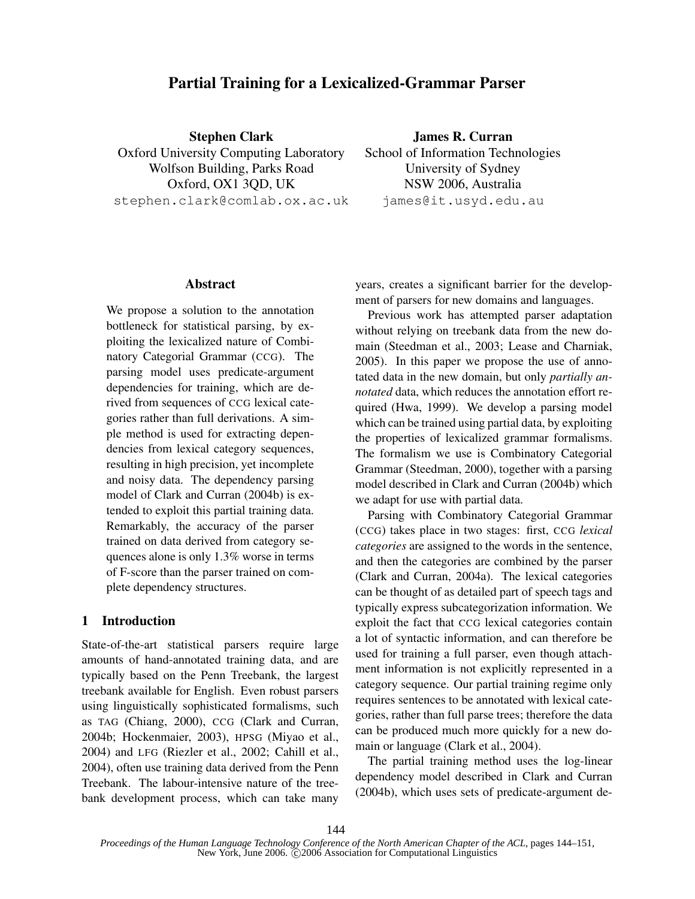# Partial Training for a Lexicalized-Grammar Parser

Stephen Clark Oxford University Computing Laboratory Wolfson Building, Parks Road Oxford, OX1 3QD, UK stephen.clark@comlab.ox.ac.uk

James R. Curran School of Information Technologies University of Sydney NSW 2006, Australia james@it.usyd.edu.au

#### Abstract

We propose a solution to the annotation bottleneck for statistical parsing, by exploiting the lexicalized nature of Combinatory Categorial Grammar (CCG). The parsing model uses predicate-argument dependencies for training, which are derived from sequences of CCG lexical categories rather than full derivations. A simple method is used for extracting dependencies from lexical category sequences, resulting in high precision, yet incomplete and noisy data. The dependency parsing model of Clark and Curran (2004b) is extended to exploit this partial training data. Remarkably, the accuracy of the parser trained on data derived from category sequences alone is only 1.3% worse in terms of F-score than the parser trained on complete dependency structures.

# 1 Introduction

State-of-the-art statistical parsers require large amounts of hand-annotated training data, and are typically based on the Penn Treebank, the largest treebank available for English. Even robust parsers using linguistically sophisticated formalisms, such as TAG (Chiang, 2000), CCG (Clark and Curran, 2004b; Hockenmaier, 2003), HPSG (Miyao et al., 2004) and LFG (Riezler et al., 2002; Cahill et al., 2004), often use training data derived from the Penn Treebank. The labour-intensive nature of the treebank development process, which can take many years, creates a significant barrier for the development of parsers for new domains and languages.

Previous work has attempted parser adaptation without relying on treebank data from the new domain (Steedman et al., 2003; Lease and Charniak, 2005). In this paper we propose the use of annotated data in the new domain, but only partially annotated data, which reduces the annotation effort required (Hwa, 1999). We develop a parsing model which can be trained using partial data, by exploiting the properties of lexicalized grammar formalisms. The formalism we use is Combinatory Categorial Grammar (Steedman, 2000), together with a parsing model described in Clark and Curran (2004b) which we adapt for use with partial data.

Parsing with Combinatory Categorial Grammar (CCG) takes place in two stages: first, CCG lexical categories are assigned to the words in the sentence, and then the categories are combined by the parser (Clark and Curran, 2004a). The lexical categories can be thought of as detailed part of speech tags and typically express subcategorization information. We exploit the fact that CCG lexical categories contain a lot of syntactic information, and can therefore be used for training a full parser, even though attachment information is not explicitly represented in a category sequence. Our partial training regime only requires sentences to be annotated with lexical categories, rather than full parse trees; therefore the data can be produced much more quickly for a new domain or language (Clark et al., 2004).

The partial training method uses the log-linear dependency model described in Clark and Curran (2004b), which uses sets of predicate-argument de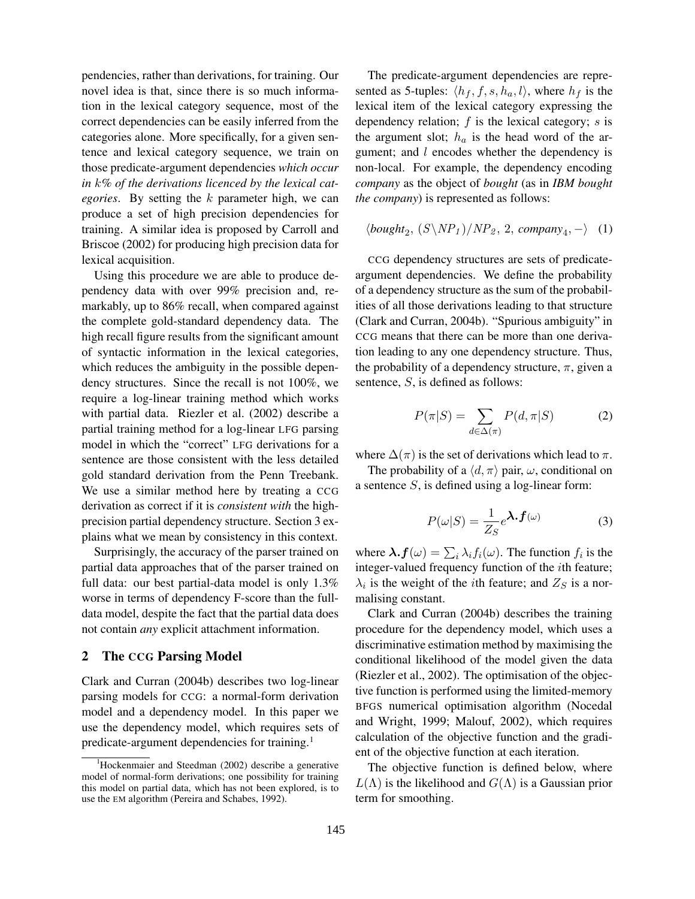pendencies, rather than derivations, for training. Our novel idea is that, since there is so much information in the lexical category sequence, most of the correct dependencies can be easily inferred from the categories alone. More specifically, for a given sentence and lexical category sequence, we train on those predicate-argument dependencies which occur in  $k\%$  of the derivations licenced by the lexical categories. By setting the  $k$  parameter high, we can produce a set of high precision dependencies for training. A similar idea is proposed by Carroll and Briscoe (2002) for producing high precision data for lexical acquisition.

Using this procedure we are able to produce dependency data with over 99% precision and, remarkably, up to 86% recall, when compared against the complete gold-standard dependency data. The high recall figure results from the significant amount of syntactic information in the lexical categories, which reduces the ambiguity in the possible dependency structures. Since the recall is not 100%, we require a log-linear training method which works with partial data. Riezler et al. (2002) describe a partial training method for a log-linear LFG parsing model in which the "correct" LFG derivations for a sentence are those consistent with the less detailed gold standard derivation from the Penn Treebank. We use a similar method here by treating a CCG derivation as correct if it is *consistent* with the highprecision partial dependency structure. Section 3 explains what we mean by consistency in this context.

Surprisingly, the accuracy of the parser trained on partial data approaches that of the parser trained on full data: our best partial-data model is only 1.3% worse in terms of dependency F-score than the fulldata model, despite the fact that the partial data does not contain any explicit attachment information.

#### 2 The CCG Parsing Model

Clark and Curran (2004b) describes two log-linear parsing models for CCG: a normal-form derivation model and a dependency model. In this paper we use the dependency model, which requires sets of predicate-argument dependencies for training.<sup>1</sup>

The predicate-argument dependencies are represented as 5-tuples:  $\langle h_f, f, s, h_a, l \rangle$ , where  $h_f$  is the lexical item of the lexical category expressing the dependency relation;  $f$  is the lexical category;  $s$  is the argument slot;  $h_a$  is the head word of the argument; and l encodes whether the dependency is non-local. For example, the dependency encoding company as the object of bought (as in IBM bought the company) is represented as follows:

$$
\langle \text{bought}_2, (S \backslash NP_1) / NP_2, 2, \text{company}_4, - \rangle \quad (1)
$$

CCG dependency structures are sets of predicateargument dependencies. We define the probability of a dependency structure as the sum of the probabilities of all those derivations leading to that structure (Clark and Curran, 2004b). "Spurious ambiguity" in CCG means that there can be more than one derivation leading to any one dependency structure. Thus, the probability of a dependency structure,  $\pi$ , given a sentence, S, is defined as follows:

$$
P(\pi|S) = \sum_{d \in \Delta(\pi)} P(d, \pi|S)
$$
 (2)

where  $\Delta(\pi)$  is the set of derivations which lead to  $\pi$ .

The probability of a  $\langle d, \pi \rangle$  pair,  $\omega$ , conditional on a sentence  $S$ , is defined using a log-linear form:

$$
P(\omega|S) = \frac{1}{Z_S} e^{\lambda \cdot \boldsymbol{f}(\omega)} \tag{3}
$$

where  $\lambda$ ,  $f(\omega) = \sum_i \lambda_i f_i(\omega)$ . The function  $f_i$  is the integer-valued frequency function of the ith feature;  $\lambda_i$  is the weight of the *i*th feature; and  $Z_S$  is a normalising constant.

Clark and Curran (2004b) describes the training procedure for the dependency model, which uses a discriminative estimation method by maximising the conditional likelihood of the model given the data (Riezler et al., 2002). The optimisation of the objective function is performed using the limited-memory BFGS numerical optimisation algorithm (Nocedal and Wright, 1999; Malouf, 2002), which requires calculation of the objective function and the gradient of the objective function at each iteration.

The objective function is defined below, where  $L(\Lambda)$  is the likelihood and  $G(\Lambda)$  is a Gaussian prior term for smoothing.

Hockenmaier and Steedman (2002) describe a generative model of normal-form derivations; one possibility for training this model on partial data, which has not been explored, is to use the EM algorithm (Pereira and Schabes, 1992).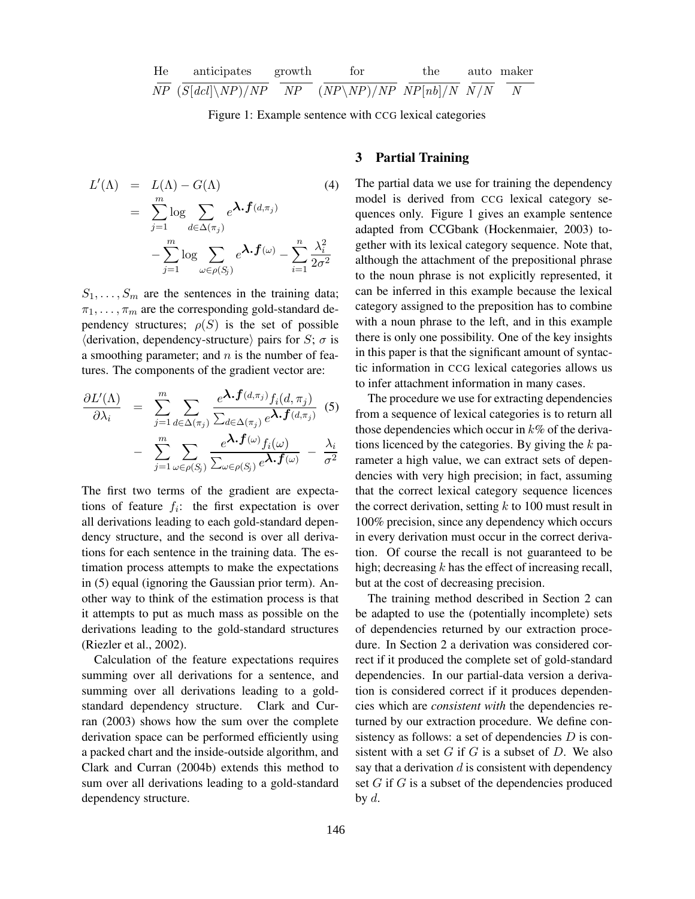He anticipates  
\n
$$
\frac{\text{aroticipates}}{NP} \frac{\text{growth}}{(S[dcl]\setminus NP)/NP} \frac{\text{for}}{NP} \frac{\text{the}}{(NP\setminus NP)/NP} \frac{\text{auto}}{NP[nb]/N} \frac{\text{maker}}{N/N}
$$

Figure 1: Example sentence with CCG lexical categories

$$
L'(\Lambda) = L(\Lambda) - G(\Lambda)
$$
\n
$$
= \sum_{j=1}^{m} \log \sum_{d \in \Delta(\pi_j)} e^{\lambda \cdot f(d, \pi_j)} - \sum_{j=1}^{m} \log \sum_{\omega \in \rho(S_j)} e^{\lambda \cdot f(\omega)} - \sum_{i=1}^{n} \frac{\lambda_i^2}{2\sigma^2}
$$
\n(4)

 $S_1, \ldots, S_m$  are the sentences in the training data;  $\pi_1, \ldots, \pi_m$  are the corresponding gold-standard dependency structures;  $\rho(S)$  is the set of possible  $\langle$  derivation, dependency-structure $\rangle$  pairs for S;  $\sigma$  is a smoothing parameter; and  $n$  is the number of features. The components of the gradient vector are:

$$
\frac{\partial L'(\Lambda)}{\partial \lambda_i} = \sum_{j=1}^m \sum_{d \in \Delta(\pi_j)} \frac{e^{\lambda \cdot f(d, \pi_j)} f_i(d, \pi_j)}{\sum_{d \in \Delta(\pi_j)} e^{\lambda \cdot f(d, \pi_j)}} \tag{5}
$$

$$
- \sum_{j=1}^m \sum_{\omega \in \rho(S_j)} \frac{e^{\lambda \cdot f(\omega)} f_i(\omega)}{\sum_{\omega \in \rho(S_j)} e^{\lambda \cdot f(\omega)}} - \frac{\lambda_i}{\sigma^2}
$$

The first two terms of the gradient are expectations of feature  $f_i$ : the first expectation is over all derivations leading to each gold-standard dependency structure, and the second is over all derivations for each sentence in the training data. The estimation process attempts to make the expectations in (5) equal (ignoring the Gaussian prior term). Another way to think of the estimation process is that it attempts to put as much mass as possible on the derivations leading to the gold-standard structures (Riezler et al., 2002).

Calculation of the feature expectations requires summing over all derivations for a sentence, and summing over all derivations leading to a goldstandard dependency structure. Clark and Curran (2003) shows how the sum over the complete derivation space can be performed efficiently using a packed chart and the inside-outside algorithm, and Clark and Curran (2004b) extends this method to sum over all derivations leading to a gold-standard dependency structure.

# 3 Partial Training

The partial data we use for training the dependency model is derived from CCG lexical category sequences only. Figure 1 gives an example sentence adapted from CCGbank (Hockenmaier, 2003) together with its lexical category sequence. Note that, although the attachment of the prepositional phrase to the noun phrase is not explicitly represented, it can be inferred in this example because the lexical category assigned to the preposition has to combine with a noun phrase to the left, and in this example there is only one possibility. One of the key insights in this paper is that the significant amount of syntactic information in CCG lexical categories allows us to infer attachment information in many cases.

The procedure we use for extracting dependencies from a sequence of lexical categories is to return all those dependencies which occur in  $k\%$  of the derivations licenced by the categories. By giving the  $k$  parameter a high value, we can extract sets of dependencies with very high precision; in fact, assuming that the correct lexical category sequence licences the correct derivation, setting  $k$  to 100 must result in 100% precision, since any dependency which occurs in every derivation must occur in the correct derivation. Of course the recall is not guaranteed to be high; decreasing  $k$  has the effect of increasing recall, but at the cost of decreasing precision.

The training method described in Section 2 can be adapted to use the (potentially incomplete) sets of dependencies returned by our extraction procedure. In Section 2 a derivation was considered correct if it produced the complete set of gold-standard dependencies. In our partial-data version a derivation is considered correct if it produces dependencies which are consistent with the dependencies returned by our extraction procedure. We define consistency as follows: a set of dependencies  $D$  is consistent with a set  $G$  if  $G$  is a subset of  $D$ . We also say that a derivation  $d$  is consistent with dependency set  $G$  if  $G$  is a subset of the dependencies produced by  $d$ .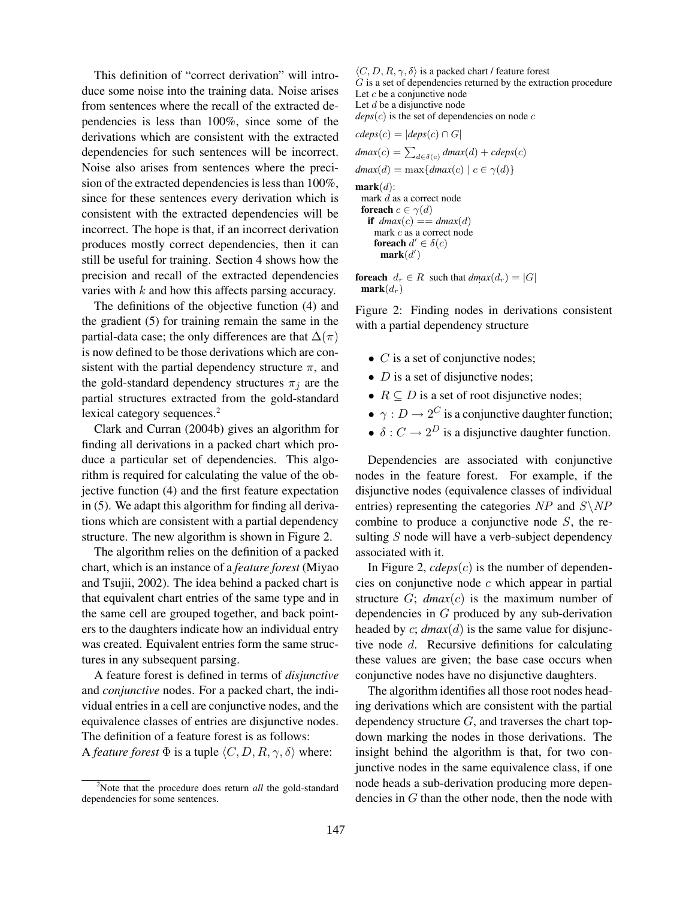This definition of "correct derivation" will introduce some noise into the training data. Noise arises from sentences where the recall of the extracted dependencies is less than 100%, since some of the derivations which are consistent with the extracted dependencies for such sentences will be incorrect. Noise also arises from sentences where the precision of the extracted dependencies is less than 100%, since for these sentences every derivation which is consistent with the extracted dependencies will be incorrect. The hope is that, if an incorrect derivation produces mostly correct dependencies, then it can still be useful for training. Section 4 shows how the precision and recall of the extracted dependencies varies with k and how this affects parsing accuracy.

The definitions of the objective function (4) and the gradient (5) for training remain the same in the partial-data case; the only differences are that  $\Delta(\pi)$ is now defined to be those derivations which are consistent with the partial dependency structure  $\pi$ , and the gold-standard dependency structures  $\pi_j$  are the partial structures extracted from the gold-standard lexical category sequences.<sup>2</sup>

Clark and Curran (2004b) gives an algorithm for finding all derivations in a packed chart which produce a particular set of dependencies. This algorithm is required for calculating the value of the objective function (4) and the first feature expectation in (5). We adapt this algorithm for finding all derivations which are consistent with a partial dependency structure. The new algorithm is shown in Figure 2.

The algorithm relies on the definition of a packed chart, which is an instance of a feature forest (Miyao and Tsujii, 2002). The idea behind a packed chart is that equivalent chart entries of the same type and in the same cell are grouped together, and back pointers to the daughters indicate how an individual entry was created. Equivalent entries form the same structures in any subsequent parsing.

A feature forest is defined in terms of disjunctive and conjunctive nodes. For a packed chart, the individual entries in a cell are conjunctive nodes, and the equivalence classes of entries are disjunctive nodes. The definition of a feature forest is as follows: A feature forest  $\Phi$  is a tuple  $\langle C, D, R, \gamma, \delta \rangle$  where:

 $\langle C, D, R, \gamma, \delta \rangle$  is a packed chart / feature forest G is a set of dependencies returned by the extraction procedure Let  $c$  be a conjunctive node Let  $d$  be a disjunctive node  $\text{deg}(c)$  is the set of dependencies on node c

$$
cdes(c) = |des(c) \cap G|
$$
  
\n
$$
dmax(c) = \sum_{d \in \delta(c)} dmax(d) + cdes(c)
$$
  
\n
$$
dmax(d) = \max\{dmax(c) | c \in \gamma(d)\}
$$
  
\n**mark** (d):  
\n
$$
\begin{array}{c}\n\text{mark } d \text{ as a correct node} \\
\text{for each } c \in \gamma(d) \\
\text{if } dmax(c) == dmax(d) \\
\text{mark } c \text{ as a correct node} \\
\text{for each } d' \in \delta(c) \\
\text{mark}(d')\n\end{array}
$$

**foreach**  $d_r \in R$  such that  $dmax(d_r) = |G|$  $mark(d_r)$ 

Figure 2: Finding nodes in derivations consistent with a partial dependency structure

- $C$  is a set of conjunctive nodes;
- $D$  is a set of disjunctive nodes;
- $R \subseteq D$  is a set of root disjunctive nodes;
- $\gamma: D \to 2^C$  is a conjunctive daughter function;
- $\delta: C \to 2^D$  is a disjunctive daughter function.

Dependencies are associated with conjunctive nodes in the feature forest. For example, if the disjunctive nodes (equivalence classes of individual entries) representing the categories NP and  $S\$  NP combine to produce a conjunctive node  $S$ , the resulting  $S$  node will have a verb-subject dependency associated with it.

In Figure 2,  $cdeps(c)$  is the number of dependencies on conjunctive node  $c$  which appear in partial structure  $G$ ;  $dmax(c)$  is the maximum number of dependencies in G produced by any sub-derivation headed by  $c$ ;  $dmax(d)$  is the same value for disjunctive node d. Recursive definitions for calculating these values are given; the base case occurs when conjunctive nodes have no disjunctive daughters.

The algorithm identifies all those root nodes heading derivations which are consistent with the partial dependency structure  $G$ , and traverses the chart topdown marking the nodes in those derivations. The insight behind the algorithm is that, for two conjunctive nodes in the same equivalence class, if one node heads a sub-derivation producing more dependencies in  $G$  than the other node, then the node with

<sup>&</sup>lt;sup>2</sup>Note that the procedure does return *all* the gold-standard dependencies for some sentences.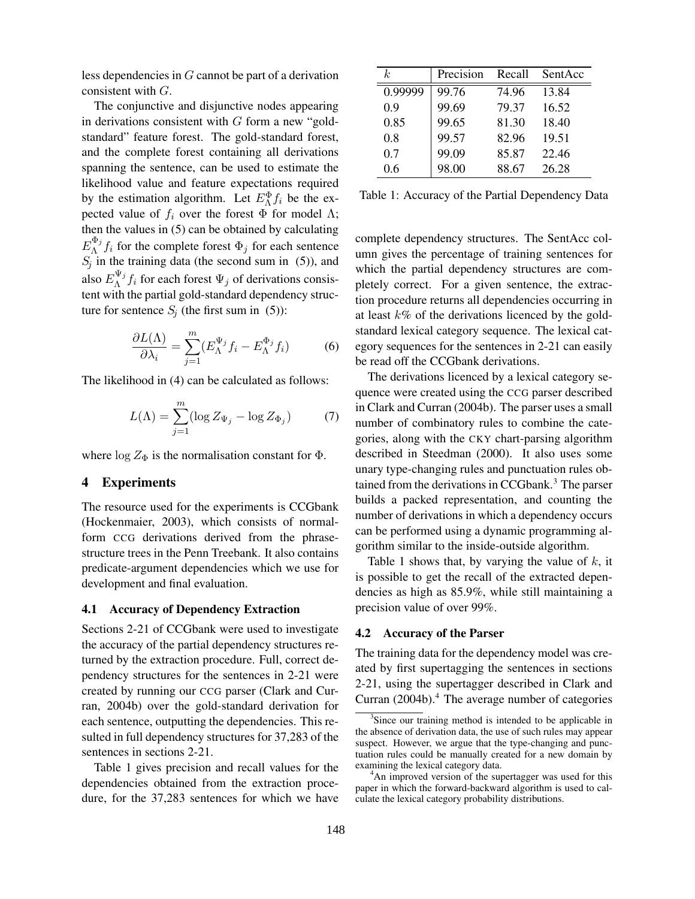less dependencies in G cannot be part of a derivation consistent with G.

The conjunctive and disjunctive nodes appearing in derivations consistent with  $G$  form a new "goldstandard" feature forest. The gold-standard forest, and the complete forest containing all derivations spanning the sentence, can be used to estimate the likelihood value and feature expectations required by the estimation algorithm. Let  $E_{\Lambda}^{\Phi} f_i$  be the expected value of  $f_i$  over the forest  $\Phi$  for model  $\Lambda$ ; then the values in (5) can be obtained by calculating  $E_\Lambda^{\Phi_j}$  $\int_{\Lambda}^{\Psi_j} f_i$  for the complete forest  $\Phi_j$  for each sentence  $S_j$  in the training data (the second sum in (5)), and also  $E_{\Lambda}^{\Psi_j}$  $\int_{\Lambda}^{\Psi_j} f_i$  for each forest  $\Psi_j$  of derivations consistent with the partial gold-standard dependency structure for sentence  $S_i$  (the first sum in (5)):

$$
\frac{\partial L(\Lambda)}{\partial \lambda_i} = \sum_{j=1}^{m} (E_{\Lambda}^{\Psi_j} f_i - E_{\Lambda}^{\Phi_j} f_i)
$$
(6)

The likelihood in (4) can be calculated as follows:

$$
L(\Lambda) = \sum_{j=1}^{m} (\log Z_{\Psi_j} - \log Z_{\Phi_j})
$$
 (7)

where  $\log Z_{\Phi}$  is the normalisation constant for  $\Phi$ .

#### 4 Experiments

The resource used for the experiments is CCGbank (Hockenmaier, 2003), which consists of normalform CCG derivations derived from the phrasestructure trees in the Penn Treebank. It also contains predicate-argument dependencies which we use for development and final evaluation.

#### 4.1 Accuracy of Dependency Extraction

Sections 2-21 of CCGbank were used to investigate the accuracy of the partial dependency structures returned by the extraction procedure. Full, correct dependency structures for the sentences in 2-21 were created by running our CCG parser (Clark and Curran, 2004b) over the gold-standard derivation for each sentence, outputting the dependencies. This resulted in full dependency structures for 37,283 of the sentences in sections 2-21.

Table 1 gives precision and recall values for the dependencies obtained from the extraction procedure, for the 37,283 sentences for which we have

| k,      | Precision | Recall | SentAcc |
|---------|-----------|--------|---------|
| 0.99999 | 99.76     | 74.96  | 13.84   |
| 0.9     | 99.69     | 79.37  | 16.52   |
| 0.85    | 99.65     | 81.30  | 18.40   |
| 0.8     | 99.57     | 82.96  | 19.51   |
| 0.7     | 99.09     | 85.87  | 22.46   |
| 0.6     | 98.00     | 88.67  | 26.28   |

Table 1: Accuracy of the Partial Dependency Data

complete dependency structures. The SentAcc column gives the percentage of training sentences for which the partial dependency structures are completely correct. For a given sentence, the extraction procedure returns all dependencies occurring in at least  $k\%$  of the derivations licenced by the goldstandard lexical category sequence. The lexical category sequences for the sentences in 2-21 can easily be read off the CCGbank derivations.

The derivations licenced by a lexical category sequence were created using the CCG parser described in Clark and Curran (2004b). The parser uses a small number of combinatory rules to combine the categories, along with the CKY chart-parsing algorithm described in Steedman (2000). It also uses some unary type-changing rules and punctuation rules obtained from the derivations in CCGbank.<sup>3</sup> The parser builds a packed representation, and counting the number of derivations in which a dependency occurs can be performed using a dynamic programming algorithm similar to the inside-outside algorithm.

Table 1 shows that, by varying the value of  $k$ , it is possible to get the recall of the extracted dependencies as high as 85.9%, while still maintaining a precision value of over 99%.

#### 4.2 Accuracy of the Parser

The training data for the dependency model was created by first supertagging the sentences in sections 2-21, using the supertagger described in Clark and Curran  $(2004b)$ .<sup>4</sup> The average number of categories

<sup>&</sup>lt;sup>3</sup>Since our training method is intended to be applicable in the absence of derivation data, the use of such rules may appear suspect. However, we argue that the type-changing and punctuation rules could be manually created for a new domain by examining the lexical category data.

<sup>&</sup>lt;sup>4</sup>An improved version of the supertagger was used for this paper in which the forward-backward algorithm is used to calculate the lexical category probability distributions.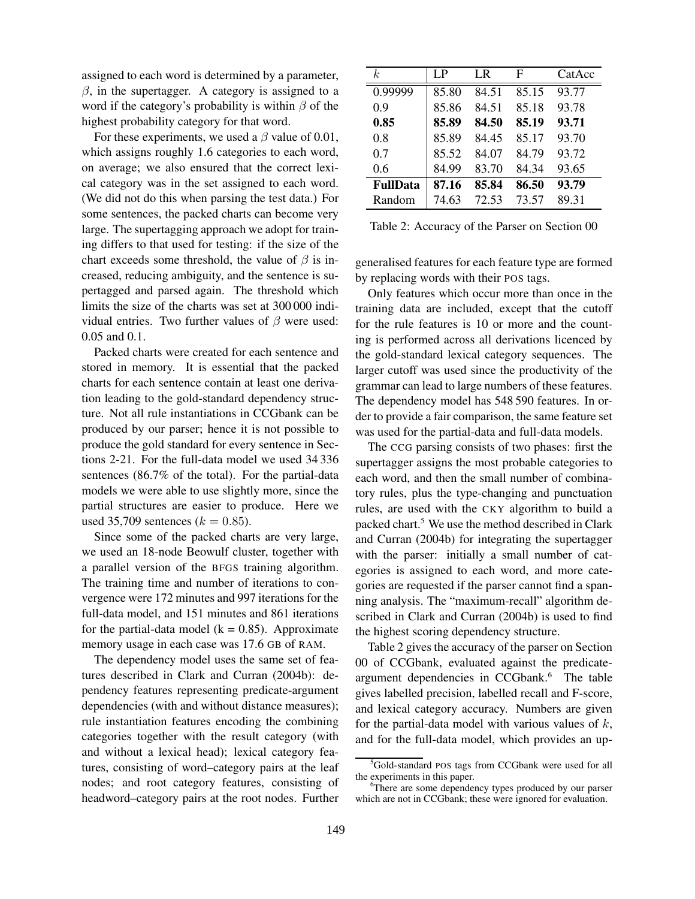assigned to each word is determined by a parameter,  $\beta$ , in the supertagger. A category is assigned to a word if the category's probability is within  $\beta$  of the highest probability category for that word.

For these experiments, we used a  $\beta$  value of 0.01, which assigns roughly 1.6 categories to each word, on average; we also ensured that the correct lexical category was in the set assigned to each word. (We did not do this when parsing the test data.) For some sentences, the packed charts can become very large. The supertagging approach we adopt for training differs to that used for testing: if the size of the chart exceeds some threshold, the value of  $\beta$  is increased, reducing ambiguity, and the sentence is supertagged and parsed again. The threshold which limits the size of the charts was set at 300 000 individual entries. Two further values of  $\beta$  were used: 0.05 and 0.1.

Packed charts were created for each sentence and stored in memory. It is essential that the packed charts for each sentence contain at least one derivation leading to the gold-standard dependency structure. Not all rule instantiations in CCGbank can be produced by our parser; hence it is not possible to produce the gold standard for every sentence in Sections 2-21. For the full-data model we used 34 336 sentences (86.7% of the total). For the partial-data models we were able to use slightly more, since the partial structures are easier to produce. Here we used 35,709 sentences ( $k = 0.85$ ).

Since some of the packed charts are very large, we used an 18-node Beowulf cluster, together with a parallel version of the BFGS training algorithm. The training time and number of iterations to convergence were 172 minutes and 997 iterations for the full-data model, and 151 minutes and 861 iterations for the partial-data model ( $k = 0.85$ ). Approximate memory usage in each case was 17.6 GB of RAM.

The dependency model uses the same set of features described in Clark and Curran (2004b): dependency features representing predicate-argument dependencies (with and without distance measures); rule instantiation features encoding the combining categories together with the result category (with and without a lexical head); lexical category features, consisting of word–category pairs at the leaf nodes; and root category features, consisting of headword–category pairs at the root nodes. Further

| k,              | LP.   | I R   | F     | CatAcc |
|-----------------|-------|-------|-------|--------|
| 0.99999         | 85.80 | 84.51 | 85.15 | 93.77  |
| 0.9             | 85.86 | 84.51 | 85.18 | 93.78  |
| 0.85            | 85.89 | 84.50 | 85.19 | 93.71  |
| 0.8             | 85.89 | 84.45 | 85.17 | 93.70  |
| 0.7             | 85.52 | 84.07 | 84.79 | 93.72  |
| 0.6             | 84.99 | 83.70 | 84.34 | 93.65  |
| <b>FullData</b> | 87.16 | 85.84 | 86.50 | 93.79  |
| Random          | 74.63 | 72.53 | 73.57 | 89.31  |

Table 2: Accuracy of the Parser on Section 00

generalised features for each feature type are formed by replacing words with their POS tags.

Only features which occur more than once in the training data are included, except that the cutoff for the rule features is 10 or more and the counting is performed across all derivations licenced by the gold-standard lexical category sequences. The larger cutoff was used since the productivity of the grammar can lead to large numbers of these features. The dependency model has 548 590 features. In order to provide a fair comparison, the same feature set was used for the partial-data and full-data models.

The CCG parsing consists of two phases: first the supertagger assigns the most probable categories to each word, and then the small number of combinatory rules, plus the type-changing and punctuation rules, are used with the CKY algorithm to build a packed chart.<sup>5</sup> We use the method described in Clark and Curran (2004b) for integrating the supertagger with the parser: initially a small number of categories is assigned to each word, and more categories are requested if the parser cannot find a spanning analysis. The "maximum-recall" algorithm described in Clark and Curran (2004b) is used to find the highest scoring dependency structure.

Table 2 gives the accuracy of the parser on Section 00 of CCGbank, evaluated against the predicateargument dependencies in CCGbank.<sup>6</sup> The table gives labelled precision, labelled recall and F-score, and lexical category accuracy. Numbers are given for the partial-data model with various values of  $k$ , and for the full-data model, which provides an up-

<sup>&</sup>lt;sup>5</sup>Gold-standard POS tags from CCGbank were used for all the experiments in this paper.

<sup>&</sup>lt;sup>6</sup>There are some dependency types produced by our parser which are not in CCGbank; these were ignored for evaluation.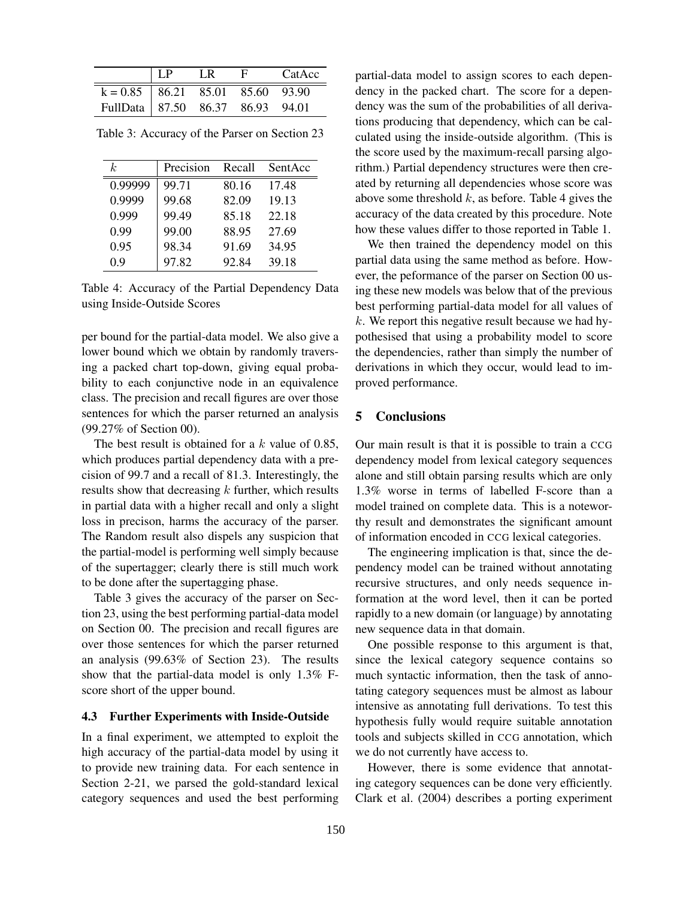|                                      | LP | LR. | CatAcc |
|--------------------------------------|----|-----|--------|
| $k = 0.85$   86.21 85.01 85.60 93.90 |    |     |        |
| FullData 87.50 86.37 86.93 94.01     |    |     |        |

Table 3: Accuracy of the Parser on Section 23

| k.      | Precision | Recall | SentAcc |
|---------|-----------|--------|---------|
| 0.99999 | 99.71     | 80.16  | 17.48   |
| 0.9999  | 99.68     | 82.09  | 19.13   |
| 0.999   | 99.49     | 85.18  | 22.18   |
| 0.99    | 99.00     | 88.95  | 27.69   |
| 0.95    | 98.34     | 91.69  | 34.95   |
| 0.9     | 97.82     | 92.84  | 39.18   |

Table 4: Accuracy of the Partial Dependency Data using Inside-Outside Scores

per bound for the partial-data model. We also give a lower bound which we obtain by randomly traversing a packed chart top-down, giving equal probability to each conjunctive node in an equivalence class. The precision and recall figures are over those sentences for which the parser returned an analysis (99.27% of Section 00).

The best result is obtained for a  $k$  value of 0.85, which produces partial dependency data with a precision of 99.7 and a recall of 81.3. Interestingly, the results show that decreasing  $k$  further, which results in partial data with a higher recall and only a slight loss in precison, harms the accuracy of the parser. The Random result also dispels any suspicion that the partial-model is performing well simply because of the supertagger; clearly there is still much work to be done after the supertagging phase.

Table 3 gives the accuracy of the parser on Section 23, using the best performing partial-data model on Section 00. The precision and recall figures are over those sentences for which the parser returned an analysis (99.63% of Section 23). The results show that the partial-data model is only 1.3% Fscore short of the upper bound.

## 4.3 Further Experiments with Inside-Outside

In a final experiment, we attempted to exploit the high accuracy of the partial-data model by using it to provide new training data. For each sentence in Section 2-21, we parsed the gold-standard lexical category sequences and used the best performing partial-data model to assign scores to each dependency in the packed chart. The score for a dependency was the sum of the probabilities of all derivations producing that dependency, which can be calculated using the inside-outside algorithm. (This is the score used by the maximum-recall parsing algorithm.) Partial dependency structures were then created by returning all dependencies whose score was above some threshold  $k$ , as before. Table 4 gives the accuracy of the data created by this procedure. Note how these values differ to those reported in Table 1.

We then trained the dependency model on this partial data using the same method as before. However, the peformance of the parser on Section 00 using these new models was below that of the previous best performing partial-data model for all values of  $k$ . We report this negative result because we had hypothesised that using a probability model to score the dependencies, rather than simply the number of derivations in which they occur, would lead to improved performance.

#### 5 Conclusions

Our main result is that it is possible to train a CCG dependency model from lexical category sequences alone and still obtain parsing results which are only 1.3% worse in terms of labelled F-score than a model trained on complete data. This is a noteworthy result and demonstrates the significant amount of information encoded in CCG lexical categories.

The engineering implication is that, since the dependency model can be trained without annotating recursive structures, and only needs sequence information at the word level, then it can be ported rapidly to a new domain (or language) by annotating new sequence data in that domain.

One possible response to this argument is that, since the lexical category sequence contains so much syntactic information, then the task of annotating category sequences must be almost as labour intensive as annotating full derivations. To test this hypothesis fully would require suitable annotation tools and subjects skilled in CCG annotation, which we do not currently have access to.

However, there is some evidence that annotating category sequences can be done very efficiently. Clark et al. (2004) describes a porting experiment